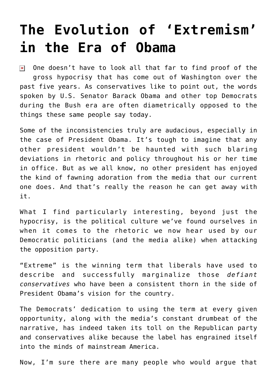## **[The Evolution of 'Extremism'](https://bernardgoldberg.com/the-evolution-of-extremism-in-the-era-of-obama/) [in the Era of Obama](https://bernardgoldberg.com/the-evolution-of-extremism-in-the-era-of-obama/)**

 $\triangleright$  One doesn't have to look all that far to find proof of the gross hypocrisy that has come out of Washington over the past five years. As conservatives like to point out, the words spoken by U.S. Senator Barack Obama and other top Democrats during the Bush era are often diametrically opposed to the things these same people say today.

Some of the inconsistencies truly are audacious, especially in the case of President Obama. It's tough to imagine that any other president wouldn't be haunted with such blaring deviations in rhetoric and policy throughout his or her time in office. But as we all know, no other president has enjoyed the kind of fawning adoration from the media that our current one does. And that's really the reason he can get away with it.

What I find particularly interesting, beyond just the hypocrisy, is the political culture we've found ourselves in when it comes to the rhetoric we now hear used by our Democratic politicians (and the media alike) when attacking the opposition party.

"Extreme" is the winning term that liberals have used to describe and successfully marginalize those *defiant conservatives* who have been a consistent thorn in the side of President Obama's vision for the country.

The Democrats' dedication to using the term at every given opportunity, along with the media's constant drumbeat of the narrative, has indeed taken its toll on the Republican party and conservatives alike because the label has engrained itself into the minds of mainstream America.

Now, I'm sure there are many people who would argue that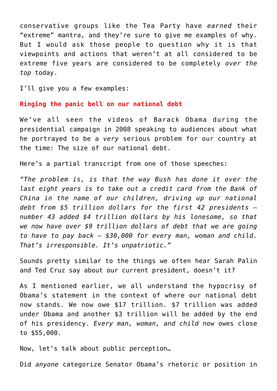conservative groups like the Tea Party have *earned* their "extreme" mantra, and they're sure to give me examples of why. But I would ask those people to question why it is that viewpoints and actions that weren't at all considered to be extreme five years are considered to be completely *over the top* today.

I'll give you a few examples:

**Ringing the panic bell on our national debt**

We've all seen the videos of Barack Obama during the presidential campaign in 2008 speaking to audiences about what he portrayed to be a *very* serious problem for our country at the time: The size of our national debt.

Here's a partial transcript from one of those speeches:

*"The problem is, is that the way Bush has done it over the last eight years is to take out a credit card from the Bank of China in the name of our children, driving up our national debt from \$5 trillion dollars for the first 42 presidents number 43 added \$4 trillion dollars by his lonesome, so that we now have over \$9 trillion dollars of debt that we are going to have to pay back — \$30,000 for every man, woman and child. That's irresponsible. It's unpatriotic."*

Sounds pretty similar to the things we often hear Sarah Palin and Ted Cruz say about our current president, doesn't it?

As I mentioned earlier, we all understand the hypocrisy of Obama's statement in the context of where our national debt now stands. We now owe \$17 trillion. \$7 trillion was added under Obama and another \$3 trillion will be added by the end of his presidency. *Every man, woman, and child* now owes close to \$55,000.

Now, let's talk about public perception…

Did *anyone* categorize Senator Obama's rhetoric or position in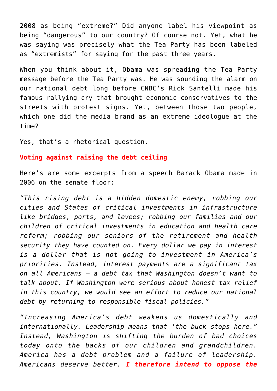2008 as being "extreme?" Did anyone label his viewpoint as being "dangerous" to our country? Of course not. Yet, what he was saying was precisely what the Tea Party has been labeled as "extremists" for saying for the past three years.

When you think about it, Obama was spreading the Tea Party message before the Tea Party was. He was sounding the alarm on our national debt long before CNBC's Rick Santelli made his famous rallying cry that brought economic conservatives to the streets with protest signs. Yet, between those two people, which one did the media brand as an extreme ideologue at the time?

Yes, that's a rhetorical question.

## **Voting against raising the debt ceiling**

Here's are some excerpts from a speech Barack Obama made in 2006 on the senate floor:

*"This rising debt is a hidden domestic enemy, robbing our cities and States of critical investments in infrastructure like bridges, ports, and levees; robbing our families and our children of critical investments in education and health care reform; robbing our seniors of the retirement and health security they have counted on. Every dollar we pay in interest is a dollar that is not going to investment in America's priorities. Instead, interest payments are a significant tax on all Americans — a debt tax that Washington doesn't want to talk about. If Washington were serious about honest tax relief in this country, we would see an effort to reduce our national debt by returning to responsible fiscal policies."*

*"Increasing America's debt weakens us domestically and internationally. Leadership means that 'the buck stops here." Instead, Washington is shifting the burden of bad choices today onto the backs of our children and grandchildren. America has a debt problem and a failure of leadership. Americans deserve better. I therefore intend to oppose the*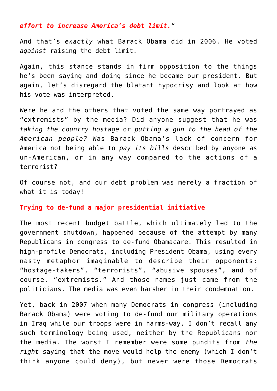## *effort to increase America's debt limit."*

And that's *exactly* what Barack Obama did in 2006. He voted *against* raising the debt limit.

Again, this stance stands in firm opposition to the things he's been saying and doing since he became our president. But again, let's disregard the blatant hypocrisy and look at how his vote was interpreted.

Were he and the others that voted the same way portrayed as "extremists" by the media? Did anyone suggest that he was *taking the country hostage* or *putting a gun to the head of the American people?* Was Barack Obama's lack of concern for America not being able to *pay its bills* described by anyone as un-American, or in any way compared to the actions of a terrorist?

Of course not, and our debt problem was merely a fraction of what it is today!

## **Trying to de-fund a major presidential initiative**

The most recent budget battle, which ultimately led to the government shutdown, happened because of the attempt by many Republicans in congress to de-fund Obamacare. This resulted in high-profile Democrats, including President Obama, using every nasty metaphor imaginable to describe their opponents: "hostage-takers", "terrorists", "abusive spouses", and of course, "extremists." And those names just came from the politicians. The media was even harsher in their condemnation.

Yet, back in 2007 when many Democrats in congress (including Barack Obama) were voting to de-fund our military operations in Iraq while our troops were in harms-way, I don't recall any such terminology being used, neither by the Republicans nor the media. The worst I remember were some pundits from *the right* saying that the move would help the enemy (which I don't think anyone could deny), but never were those Democrats